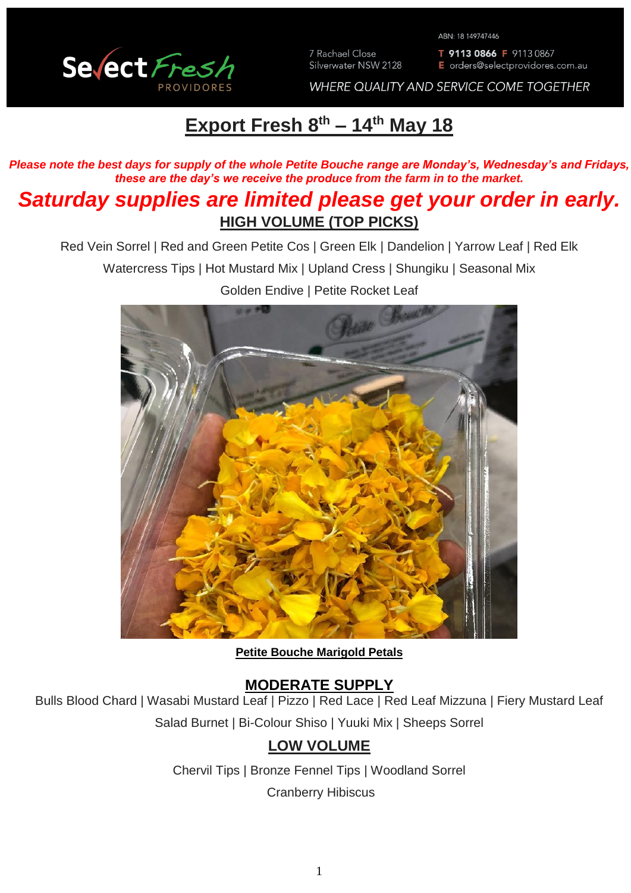

7 Rachael Close Silverwater NSW 2128 ABN: 18 149747446

T 9113 0866 F 9113 0867 E orders@selectprovidores.com.au

WHERE QUALITY AND SERVICE COME TOGETHER

# **Export Fresh 8 th – 14th May 18**

*Please note the best days for supply of the whole Petite Bouche range are Monday's, Wednesday's and Fridays, these are the day's we receive the produce from the farm in to the market.*

# *Saturday supplies are limited please get your order in early.* **HIGH VOLUME (TOP PICKS)**

Red Vein Sorrel | Red and Green Petite Cos | Green Elk | Dandelion | Yarrow Leaf | Red Elk

Watercress Tips | Hot Mustard Mix | Upland Cress | Shungiku | Seasonal Mix

Golden Endive | Petite Rocket Leaf

#### **Petite Bouche Marigold Petals**

### **MODERATE SUPPLY**

Bulls Blood Chard | Wasabi Mustard Leaf | Pizzo | Red Lace | Red Leaf Mizzuna | Fiery Mustard Leaf Salad Burnet | Bi-Colour Shiso | Yuuki Mix | Sheeps Sorrel

## **LOW VOLUME**

Chervil Tips | Bronze Fennel Tips | Woodland Sorrel

Cranberry Hibiscus